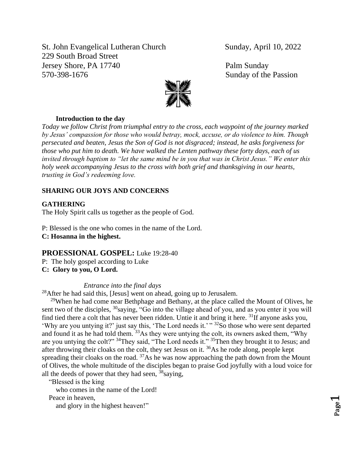St. John Evangelical Lutheran Church Sunday, April 10, 2022 229 South Broad Street Jersey Shore, PA 17740 Palm Sunday 570-398-1676 Sunday of the Passion

Page  $\overline{\phantom{0}}$ 



#### **Introduction to the day**

*Today we follow Christ from triumphal entry to the cross, each waypoint of the journey marked by Jesus' compassion for those who would betray, mock, accuse, or do violence to him. Though persecuted and beaten, Jesus the Son of God is not disgraced; instead, he asks forgiveness for those who put him to death. We have walked the Lenten pathway these forty days, each of us invited through baptism to "let the same mind be in you that was in Christ Jesus." We enter this holy week accompanying Jesus to the cross with both grief and thanksgiving in our hearts, trusting in God's redeeming love.*

## **SHARING OUR JOYS AND CONCERNS**

## **GATHERING**

The Holy Spirit calls us together as the people of God.

P: Blessed is the one who comes in the name of the Lord.

# **C: Hosanna in the highest.**

#### **PROESSIONAL GOSPEL:** Luke 19:28-40

P: The holy gospel according to Luke **C: Glory to you, O Lord.**

#### *Entrance into the final days*

 $^{28}$ After he had said this, [Jesus] went on ahead, going up to Jerusalem.

<sup>29</sup>When he had come near Bethphage and Bethany, at the place called the Mount of Olives, he sent two of the disciples,  $30$ saying, "Go into the village ahead of you, and as you enter it you will find tied there a colt that has never been ridden. Untie it and bring it here. <sup>31</sup>If anyone asks you, 'Why are you untying it?' just say this, 'The Lord needs it.'" <sup>32</sup>So those who were sent departed and found it as he had told them. <sup>33</sup>As they were untying the colt, its owners asked them, "Why are you untying the colt?" <sup>34</sup>They said, "The Lord needs it." <sup>35</sup>Then they brought it to Jesus; and after throwing their cloaks on the colt, they set Jesus on it. <sup>36</sup>As he rode along, people kept spreading their cloaks on the road.  $37\text{As}$  he was now approaching the path down from the Mount of Olives, the whole multitude of the disciples began to praise God joyfully with a loud voice for all the deeds of power that they had seen,  $38$ saying,

"Blessed is the king

who comes in the name of the Lord! Peace in heaven, and glory in the highest heaven!"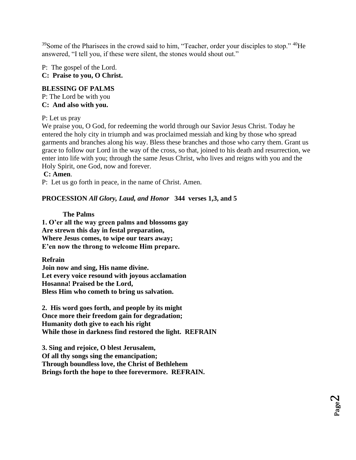$39$ Some of the Pharisees in the crowd said to him, "Teacher, order your disciples to stop."  $40$ He answered, "I tell you, if these were silent, the stones would shout out."

P: The gospel of the Lord. **C: Praise to you, O Christ.**

**BLESSING OF PALMS**

P: The Lord be with you **C: And also with you.**

P: Let us pray

We praise you, O God, for redeeming the world through our Savior Jesus Christ. Today he entered the holy city in triumph and was proclaimed messiah and king by those who spread garments and branches along his way. Bless these branches and those who carry them. Grant us grace to follow our Lord in the way of the cross, so that, joined to his death and resurrection, we enter into life with you; through the same Jesus Christ, who lives and reigns with you and the Holy Spirit, one God, now and forever.

## **C: Amen**.

P: Let us go forth in peace, in the name of Christ. Amen.

# **PROCESSION** *All Glory, Laud, and Honor* **344 verses 1,3, and 5**

**The Palms** 

**1. O'er all the way green palms and blossoms gay Are strewn this day in festal preparation, Where Jesus comes, to wipe our tears away; E'en now the throng to welcome Him prepare.**

**Refrain Join now and sing, His name divine. Let every voice resound with joyous acclamation Hosanna! Praised be the Lord, Bless Him who cometh to bring us salvation.**

**2. His word goes forth, and people by its might Once more their freedom gain for degradation; Humanity doth give to each his right While those in darkness find restored the light. REFRAIN**

**3. Sing and rejoice, O blest Jerusalem, Of all thy songs sing the emancipation; Through boundless love, the Christ of Bethlehem Brings forth the hope to thee forevermore. REFRAIN.**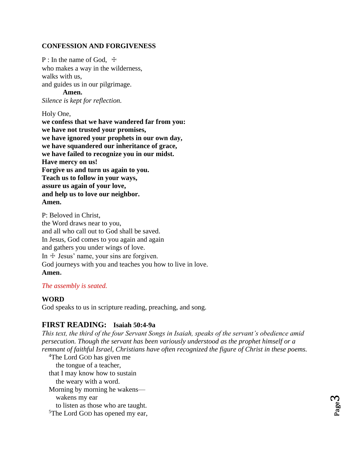#### **CONFESSION AND FORGIVENESS**

P : In the name of God,  $\pm$ who makes a way in the wilderness, walks with us, and guides us in our pilgrimage.

**Amen.** *Silence is kept for reflection.*

Holy One,

**we confess that we have wandered far from you: we have not trusted your promises, we have ignored your prophets in our own day, we have squandered our inheritance of grace, we have failed to recognize you in our midst. Have mercy on us! Forgive us and turn us again to you. Teach us to follow in your ways, assure us again of your love, and help us to love our neighbor. Amen.**

P: Beloved in Christ, the Word draws near to you, and all who call out to God shall be saved. In Jesus, God comes to you again and again and gathers you under wings of love. In  $\pm$  Jesus' name, your sins are forgiven. God journeys with you and teaches you how to live in love. **Amen.**

#### *The assembly is seated.*

#### **WORD**

God speaks to us in scripture reading, preaching, and song.

# **FIRST READING: Isaiah 50:4-9a**

*This text, the third of the four Servant Songs in Isaiah, speaks of the servant's obedience amid persecution. Though the servant has been variously understood as the prophet himself or a remnant of faithful Israel, Christians have often recognized the figure of Christ in these poems.*

<sup>4</sup>The Lord GOD has given me the tongue of a teacher, that I may know how to sustain the weary with a word. Morning by morning he wakens wakens my ear to listen as those who are taught. <sup>5</sup>The Lord GOD has opened my ear,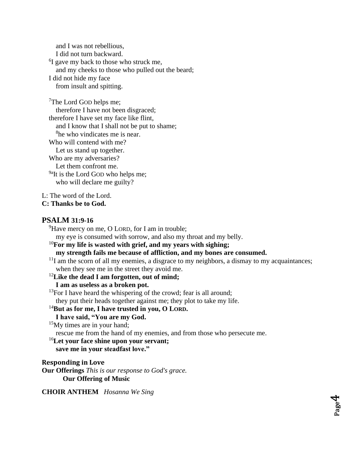and I was not rebellious, I did not turn backward. <sup>6</sup>I gave my back to those who struck me, and my cheeks to those who pulled out the beard; I did not hide my face from insult and spitting.

 $7$ The Lord GOD helps me; therefore I have not been disgraced; therefore I have set my face like flint, and I know that I shall not be put to shame; <sup>8</sup>he who vindicates me is near. Who will contend with me? Let us stand up together. Who are my adversaries? Let them confront me. <sup>9a</sup>It is the Lord GOD who helps me; who will declare me guilty?

L: The word of the Lord.

**C: Thanks be to God.**

# **PSALM 31:9-16**

<sup>9</sup>Have mercy on me, O LORD, for I am in trouble; my eye is consumed with sorrow, and also my throat and my belly. <sup>10</sup>**For my life is wasted with grief, and my years with sighing; my strength fails me because of affliction, and my bones are consumed.**  $11$ I am the scorn of all my enemies, a disgrace to my neighbors, a dismay to my acquaintances; when they see me in the street they avoid me. <sup>12</sup>**Like the dead I am forgotten, out of mind; I am as useless as a broken pot.**  $13$ For I have heard the whispering of the crowd; fear is all around; they put their heads together against me; they plot to take my life. <sup>14</sup>**But as for me, I have trusted in you, O LORD. I have said, "You are my God.**  $15$ My times are in your hand;

rescue me from the hand of my enemies, and from those who persecute me.

## <sup>16</sup>**Let your face shine upon your servant;**

**save me in your steadfast love."**

#### **Responding in Love**

**Our Offerings** *This is our response to God's grace.* **Our Offering of Music** 

**CHOIR ANTHEM** *Hosanna We Sing*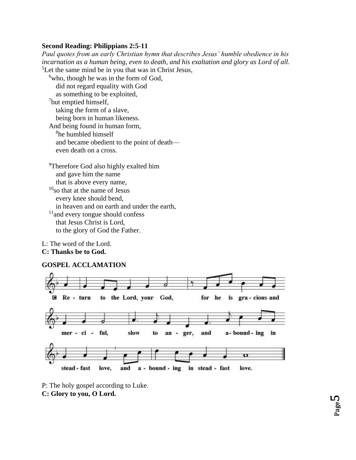## **Second Reading: Philippians 2:5-11**

*Paul quotes from an early Christian hymn that describes Jesus' humble obedience in his incarnation as a human being, even to death, and his exaltation and glory as Lord of all.* <sup>5</sup>Let the same mind be in you that was in Christ Jesus,

 $6$ who, though he was in the form of God, did not regard equality with God as something to be exploited, <sup>7</sup>but emptied himself, taking the form of a slave, being born in human likeness. And being found in human form, 8 he humbled himself and became obedient to the point of death even death on a cross.

<sup>9</sup>Therefore God also highly exalted him and gave him the name that is above every name,

<sup>10</sup>so that at the name of Jesus every knee should bend, in heaven and on earth and under the earth, <sup>11</sup> and every tongue should confess that Jesus Christ is Lord,

to the glory of God the Father.

#### L: The word of the Lord. **C: Thanks be to God.**

# **GOSPEL ACCLAMATION**



P: The holy gospel according to Luke. **C: Glory to you, O Lord.**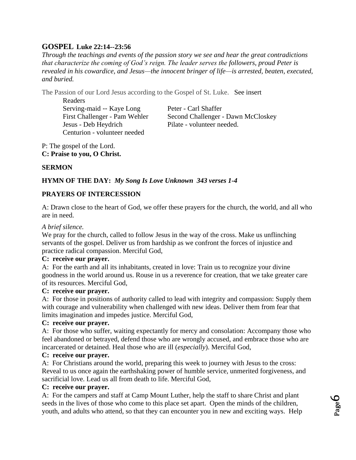# **GOSPEL Luke 22:14--23:56**

*Through the teachings and events of the passion story we see and hear the great contradictions that characterize the coming of God's reign. The leader serves the followers, proud Peter is revealed in his cowardice, and Jesus—the innocent bringer of life—is arrested, beaten, executed, and buried.*

The Passion of our Lord Jesus according to the Gospel of St. Luke. See insert

Readers Serving-maid -- Kaye Long Peter - Carl Shaffer Jesus - Deb Heydrich Pilate - volunteer needed. Centurion - volunteer needed

First Challenger - Pam Wehler Second Challenger - Dawn McCloskey

P: The gospel of the Lord. **C: Praise to you, O Christ.**

# **SERMON**

# **HYMN OF THE DAY:** *My Song Is Love Unknown 343 verses 1-4*

# **PRAYERS OF INTERCESSION**

A: Drawn close to the heart of God, we offer these prayers for the church, the world, and all who are in need.

*A brief silence.*

We pray for the church, called to follow Jesus in the way of the cross. Make us unflinching servants of the gospel. Deliver us from hardship as we confront the forces of injustice and practice radical compassion. Merciful God,

# **C: receive our prayer.**

A: For the earth and all its inhabitants, created in love: Train us to recognize your divine goodness in the world around us. Rouse in us a reverence for creation, that we take greater care of its resources. Merciful God,

#### **C: receive our prayer.**

A: For those in positions of authority called to lead with integrity and compassion: Supply them with courage and vulnerability when challenged with new ideas. Deliver them from fear that limits imagination and impedes justice. Merciful God,

# **C: receive our prayer.**

A: For those who suffer, waiting expectantly for mercy and consolation: Accompany those who feel abandoned or betrayed, defend those who are wrongly accused, and embrace those who are incarcerated or detained. Heal those who are ill (*especially*). Merciful God,

#### **C: receive our prayer.**

A: For Christians around the world, preparing this week to journey with Jesus to the cross: Reveal to us once again the earthshaking power of humble service, unmerited forgiveness, and sacrificial love. Lead us all from death to life. Merciful God,

#### **C: receive our prayer.**

A: For the campers and staff at Camp Mount Luther, help the staff to share Christ and plant seeds in the lives of those who come to this place set apart. Open the minds of the children, youth, and adults who attend, so that they can encounter you in new and exciting ways. Help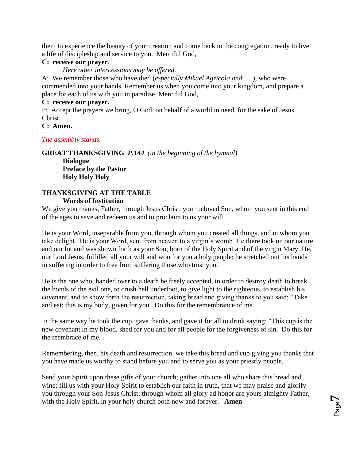them to experience the beauty of your creation and come back to the congregation, ready to live a life of discipleship and service to you. Merciful God,

### **C: receive our prayer**.

*Here other intercessions may be offered.*

A: We remember those who have died (*especially Mikael Agricola and . . .*), who were commended into your hands. Remember us when you come into your kingdom, and prepare a place for each of us with you in paradise. Merciful God,

#### **C: receive our prayer.**

P: Accept the prayers we bring, O God, on behalf of a world in need, for the sake of Jesus Christ.

**C: Amen.**

#### *The assembly stands.*

**GREAT THANKSGIVING** *P.144 (in the beginning of the hymnal)* **Dialogue**

**Preface by the Pastor Holy Holy Holy**

#### **THANKSGIVING AT THE TABLE Words of Institution**

We give you thanks, Father, through Jesus Christ, your beloved Son, whom you sent in this end of the ages to save and redeem us and to proclaim to us your will.

He is your Word, inseparable from you, through whom you created all things, and in whom you take delight. He is your Word, sent from heaven to a virgin's womb He there took on our nature and our lot and was shown forth as your Son, born of the Holy Spirit and of the virgin Mary. He, our Lord Jesus, fulfilled all your will and won for you a holy people; he stretched out his hands in suffering in order to free from suffering those who trust you.

He is the one who, handed over to a death he freely accepted, in order to destroy death to break the bonds of the evil one, to crush hell underfoot, to give light to the righteous, to establish his covenant, and to show forth the resurrection, taking bread and giving thanks to you said; "Take and eat; this is my body, given for you. Do this for the remembrance of me.

In the same way he took the cup, gave thanks, and gave it for all to drink saying: "This cup is the new covenant in my blood, shed for you and for all people for the forgiveness of sin. Do this for the reembrace of me.

Remembering, then, his death and resurrection, we take this bread and cup giving you thanks that you have made us worthy to stand before you and to serve you as your priestly people.

Send your Spirit upon these gifts of your church; gather into one all who share this bread and wine; fill us with your Holy Spirit to establish our faith in truth, that we may praise and glorify you through your Son Jesus Christ; through whom all glory ad honor are yours almighty Father, with the Holy Spirit, in your holy church both now and forever. **Amen**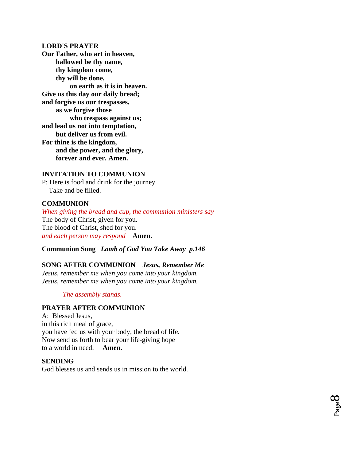#### **LORD'S PRAYER**

**Our Father, who art in heaven, hallowed be thy name, thy kingdom come, thy will be done, on earth as it is in heaven. Give us this day our daily bread; and forgive us our trespasses, as we forgive those who trespass against us; and lead us not into temptation, but deliver us from evil. For thine is the kingdom, and the power, and the glory, forever and ever. Amen.**

# **INVITATION TO COMMUNION**

P: Here is food and drink for the journey. Take and be filled.

#### **COMMUNION**

*When giving the bread and cup, the communion ministers say* The body of Christ, given for you. The blood of Christ, shed for you. *and each person may respond* **Amen.**

**Communion Song** *Lamb of God You Take Away p.146*

### **SONG AFTER COMMUNION** *Jesus, Remember Me*

*Jesus, remember me when you come into your kingdom. Jesus, remember me when you come into your kingdom.*

#### *The assembly stands.*

### **PRAYER AFTER COMMUNION**

A: Blessed Jesus, in this rich meal of grace, you have fed us with your body, the bread of life. Now send us forth to bear your life -giving hope to a world in need. **Amen.**

#### **SENDING**

God blesses us and sends us in mission to the world.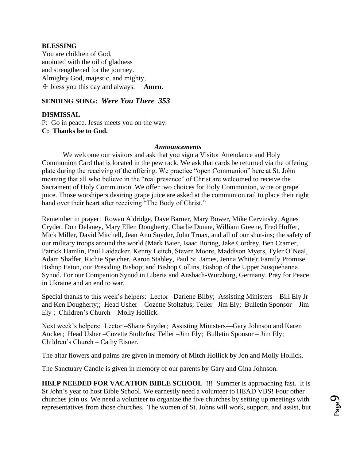### **BLESSING**

You are children of God, anointed with the oil of gladness and strengthened for the journey. Almighty God, majestic, and mighty, ☩ bless you this day and always. **Amen.**

## **SENDING SONG:** *Were You There 353*

#### **DISMISSAL**

P: Go in peace. Jesus meets you on the way. **C: Thanks be to God.**

#### *Announcements*

We welcome our visitors and ask that you sign a Visitor Attendance and Holy Communion Card that is located in the pew rack. We ask that cards be returned via the offering plate during the receiving of the offering. We practice "open Communion" here at St. John meaning that all who believe in the "real presence" of Christ are welcomed to receive the Sacrament of Holy Communion. We offer two choices for Holy Communion, wine or grape juice. Those worshipers desiring grape juice are asked at the communion rail to place their right hand over their heart after receiving "The Body of Christ."

Remember in prayer: Rowan Aldridge, Dave Barner, Mary Bower, Mike Cervinsky, Agnes Cryder, Don Delaney, Mary Ellen Dougherty, Charlie Dunne, William Greene, Fred Hoffer, Mick Miller, David Mitchell, Jean Ann Snyder, John Truax, and all of our shut-ins; the safety of our military troops around the world (Mark Baier, Isaac Boring, Jake Cordrey, Ben Cramer, Patrick Hamlin, Paul Laidacker, Kenny Leitch, Steven Moore, Maddison Myers, Tyler O'Neal, Adam Shaffer, Richie Speicher, Aaron Stabley, Paul St. James, Jenna White); Family Promise. Bishop Eaton, our Presiding Bishop; and Bishop Collins, Bishop of the Upper Susquehanna Synod. For our Companion Synod in Liberia and Ansbach-Wurzburg, Germany. Pray for Peace in Ukraine and an end to war.

Special thanks to this week's helpers: Lector –Darlene Bilby; Assisting Ministers – Bill Ely Jr and Ken Dougherty;; Head Usher – Cozette Stoltzfus; Teller –Jim Ely; Bulletin Sponsor – Jim Ely ; Children's Church – Molly Hollick.

Next week's helpers: Lector –Shane Snyder; Assisting Ministers—Gary Johnson and Karen Aucker; Head Usher –Cozette Stoltzfus; Teller –Jim Ely; Bulletin Sponsor – Jim Ely; Children's Church – Cathy Eisner.

The altar flowers and palms are given in memory of Mitch Hollick by Jon and Molly Hollick.

The Sanctuary Candle is given in memory of our parents by Gary and Gina Johnson.

**HELP NEEDED FOR VACATION BIBLE SCHOOL !!!** Summer is approaching fast. It is St John's year to host Bible School. We earnestly need a volunteer to HEAD VBS! Four other churches join us. We need a volunteer to organize the five churches by setting up meetings with representatives from those churches. The women of St. Johns will work, support, and assist, but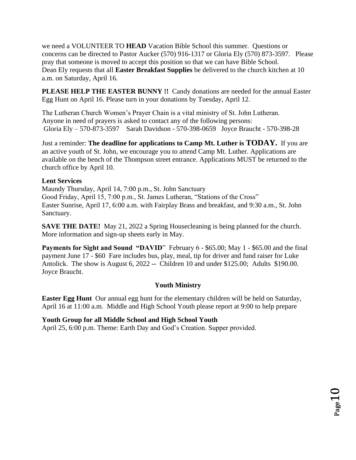we need a VOLUNTEER TO **HEAD** Vacation Bible School this summer. Questions or concerns can be directed to Pastor Aucker (570) 916-1317 or Gloria Ely (570) 873-3597. Please pray that someone is moved to accept this position so that we can have Bible School. Dean Ely requests that all **Easter Breakfast Supplies** be delivered to the church kitchen at 10 a.m. on Saturday, April 16.

**PLEASE HELP THE EASTER BUNNY !!** Candy donations are needed for the annual Easter Egg Hunt on April 16. Please turn in your donations by Tuesday, April 12.

The Lutheran Church Women's Prayer Chain is a vital ministry of St. John Lutheran. Anyone in need of prayers is asked to contact any of the following persons: Gloria Ely – 570-873-3597 Sarah Davidson - 570-398-0659 Joyce Braucht - 570-398-28

Just a reminder: **The deadline for applications to Camp Mt. Luther is TODAY.** If you are an active youth of St. John, we encourage you to attend Camp Mt. Luther. Applications are available on the bench of the Thompson street entrance. Applications MUST be returned to the church office by April 10.

# **Lent Services**

Maundy Thursday, April 14, 7:00 p.m., St. John Sanctuary Good Friday, April 15, 7:00 p.m., St. James Lutheran, "Stations of the Cross" Easter Sunrise, April 17, 6:00 a.m. with Fairplay Brass and breakfast, and 9:30 a.m., St. John Sanctuary.

**SAVE THE DATE!** May 21, 2022 a Spring Housecleaning is being planned for the church. More information and sign-up sheets early in May.

**Payments for Sight and Sound "DAVID"** February 6 - \$65.00; May 1 - \$65.00 and the final payment June 17 - \$60 Fare includes bus, play, meal, tip for driver and fund raiser for Luke Antolick. The show is August 6, 2022 **--** Children 10 and under \$125.00; Adults \$190.00. Joyce Braucht.

# **Youth Ministry**

**Easter Egg Hunt** Our annual egg hunt for the elementary children will be held on Saturday, April 16 at 11:00 a.m. Middle and High School Youth please report at 9:00 to help prepare

# **Youth Group for all Middle School and High School Youth**

April 25, 6:00 p.m. Theme: Earth Day and God's Creation. Supper provided.